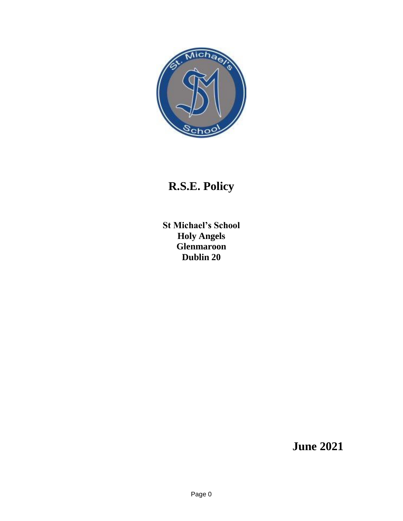

# **R.S.E. Policy**

**St Michael's School Holy Angels Glenmaroon Dublin 20**

**June 2021**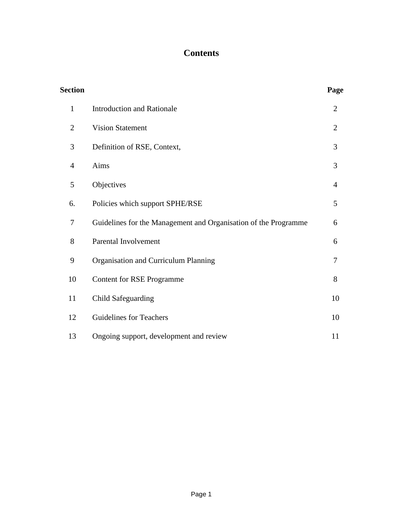## **Contents**

| <b>Section</b> |                                                                 | Page           |
|----------------|-----------------------------------------------------------------|----------------|
| $\mathbf{1}$   | <b>Introduction and Rationale</b>                               | $\overline{2}$ |
| $\overline{2}$ | <b>Vision Statement</b>                                         | $\overline{2}$ |
| 3              | Definition of RSE, Context,                                     | 3              |
| 4              | Aims                                                            | 3              |
| 5              | Objectives                                                      | $\overline{4}$ |
| 6.             | Policies which support SPHE/RSE                                 | 5              |
| 7              | Guidelines for the Management and Organisation of the Programme | 6              |
| 8              | Parental Involvement                                            | 6              |
| 9              | Organisation and Curriculum Planning                            | $\tau$         |
| 10             | <b>Content for RSE Programme</b>                                | 8              |
| 11             | <b>Child Safeguarding</b>                                       | 10             |
| 12             | <b>Guidelines for Teachers</b>                                  | 10             |
| 13             | Ongoing support, development and review                         | 11             |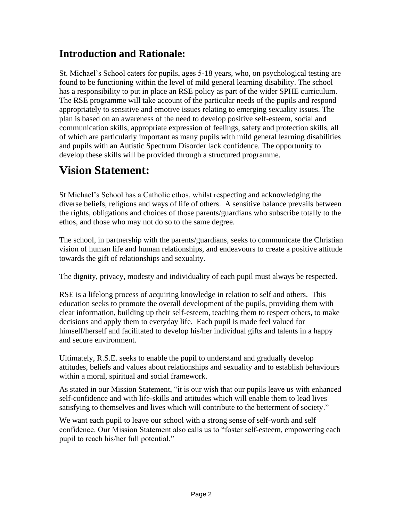## **Introduction and Rationale:**

St. Michael's School caters for pupils, ages 5-18 years, who, on psychological testing are found to be functioning within the level of mild general learning disability. The school has a responsibility to put in place an RSE policy as part of the wider SPHE curriculum. The RSE programme will take account of the particular needs of the pupils and respond appropriately to sensitive and emotive issues relating to emerging sexuality issues. The plan is based on an awareness of the need to develop positive self-esteem, social and communication skills, appropriate expression of feelings, safety and protection skills, all of which are particularly important as many pupils with mild general learning disabilities and pupils with an Autistic Spectrum Disorder lack confidence. The opportunity to develop these skills will be provided through a structured programme.

# **Vision Statement:**

St Michael's School has a Catholic ethos, whilst respecting and acknowledging the diverse beliefs, religions and ways of life of others. A sensitive balance prevails between the rights, obligations and choices of those parents/guardians who subscribe totally to the ethos, and those who may not do so to the same degree.

The school, in partnership with the parents/guardians, seeks to communicate the Christian vision of human life and human relationships, and endeavours to create a positive attitude towards the gift of relationships and sexuality.

The dignity, privacy, modesty and individuality of each pupil must always be respected.

RSE is a lifelong process of acquiring knowledge in relation to self and others. This education seeks to promote the overall development of the pupils, providing them with clear information, building up their self-esteem, teaching them to respect others, to make decisions and apply them to everyday life. Each pupil is made feel valued for himself/herself and facilitated to develop his/her individual gifts and talents in a happy and secure environment.

Ultimately, R.S.E. seeks to enable the pupil to understand and gradually develop attitudes, beliefs and values about relationships and sexuality and to establish behaviours within a moral, spiritual and social framework.

As stated in our Mission Statement, "it is our wish that our pupils leave us with enhanced self-confidence and with life-skills and attitudes which will enable them to lead lives satisfying to themselves and lives which will contribute to the betterment of society."

We want each pupil to leave our school with a strong sense of self-worth and self confidence. Our Mission Statement also calls us to "foster self-esteem, empowering each pupil to reach his/her full potential."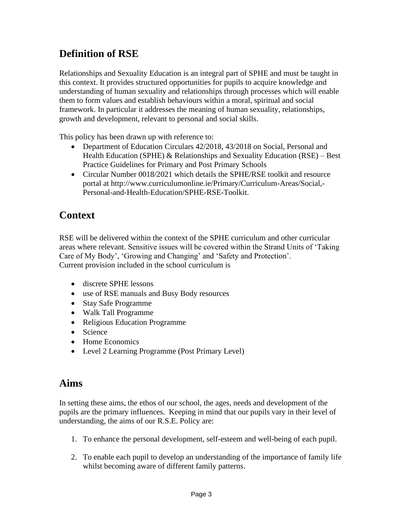# **Definition of RSE**

Relationships and Sexuality Education is an integral part of SPHE and must be taught in this context. It provides structured opportunities for pupils to acquire knowledge and understanding of human sexuality and relationships through processes which will enable them to form values and establish behaviours within a moral, spiritual and social framework. In particular it addresses the meaning of human sexuality, relationships, growth and development, relevant to personal and social skills.

This policy has been drawn up with reference to:

- Department of Education Circulars 42/2018, 43/2018 on Social, Personal and Health Education (SPHE) & Relationships and Sexuality Education (RSE) – Best Practice Guidelines for Primary and Post Primary Schools
- Circular Number 0018/2021 which details the SPHE/RSE toolkit and resource portal at http://www.curriculumonline.ie/Primary/Curriculum-Areas/Social,- Personal-and-Health-Education/SPHE-RSE-Toolkit.

# **Context**

RSE will be delivered within the context of the SPHE curriculum and other curricular areas where relevant. Sensitive issues will be covered within the Strand Units of 'Taking Care of My Body', 'Growing and Changing' and 'Safety and Protection'. Current provision included in the school curriculum is

- discrete SPHE lessons
- use of RSE manuals and Busy Body resources
- Stay Safe Programme
- Walk Tall Programme
- Religious Education Programme
- Science
- Home Economics
- Level 2 Learning Programme (Post Primary Level)

## **Aims**

In setting these aims, the ethos of our school, the ages, needs and development of the pupils are the primary influences. Keeping in mind that our pupils vary in their level of understanding, the aims of our R.S.E. Policy are:

- 1. To enhance the personal development, self-esteem and well-being of each pupil.
- 2. To enable each pupil to develop an understanding of the importance of family life whilst becoming aware of different family patterns.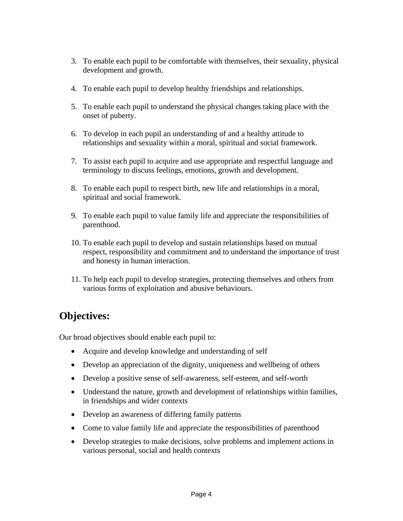- 3. To enable each pupil to be comfortable with themselves, their sexuality, physical development and growth.
- 4. To enable each pupil to develop healthy friendships and relationships.
- 5. To enable each pupil to understand the physical changes taking place with the onset of puberty.
- 6. To develop in each pupil an understanding of and a healthy attitude to relationships and sexuality within a moral, spiritual and social framework.
- 7. To assist each pupil to acquire and use appropriate and respectful language and terminology to discuss feelings, emotions, growth and development.
- 8. To enable each pupil to respect birth, new life and relationships in a moral, spiritual and social framework.
- 9. To enable each pupil to value family life and appreciate the responsibilities of parenthood.
- 10. To enable each pupil to develop and sustain relationships based on mutual respect, responsibility and commitment and to understand the importance of trust and honesty in human interaction.
- 11. To help each pupil to develop strategies, protecting themselves and others from various forms of exploitation and abusive behaviours.

# **Objectives:**

Our broad objectives should enable each pupil to:

- Acquire and develop knowledge and understanding of self
- Develop an appreciation of the dignity, uniqueness and wellbeing of others
- Develop a positive sense of self-awareness, self-esteem, and self-worth
- Understand the nature, growth and development of relationships within families, in friendships and wider contexts
- Develop an awareness of differing family patterns
- Come to value family life and appreciate the responsibilities of parenthood
- Develop strategies to make decisions, solve problems and implement actions in various personal, social and health contexts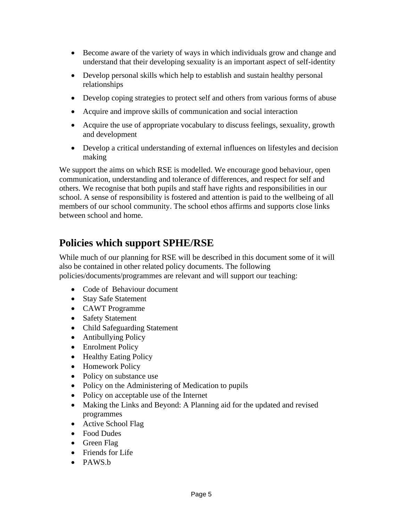- Become aware of the variety of ways in which individuals grow and change and understand that their developing sexuality is an important aspect of self-identity
- Develop personal skills which help to establish and sustain healthy personal relationships
- Develop coping strategies to protect self and others from various forms of abuse
- Acquire and improve skills of communication and social interaction
- Acquire the use of appropriate vocabulary to discuss feelings, sexuality, growth and development
- Develop a critical understanding of external influences on lifestyles and decision making

We support the aims on which RSE is modelled. We encourage good behaviour, open communication, understanding and tolerance of differences, and respect for self and others. We recognise that both pupils and staff have rights and responsibilities in our school. A sense of responsibility is fostered and attention is paid to the wellbeing of all members of our school community. The school ethos affirms and supports close links between school and home.

# **Policies which support SPHE/RSE**

While much of our planning for RSE will be described in this document some of it will also be contained in other related policy documents. The following policies/documents/programmes are relevant and will support our teaching:

- Code of Behaviour document
- Stay Safe Statement
- CAWT Programme
- Safety Statement
- Child Safeguarding Statement
- Antibullying Policy
- Enrolment Policy
- Healthy Eating Policy
- Homework Policy
- Policy on substance use
- Policy on the Administering of Medication to pupils
- Policy on acceptable use of the Internet
- Making the Links and Beyond: A Planning aid for the updated and revised programmes
- Active School Flag
- Food Dudes
- Green Flag
- Friends for Life
- PAWS.b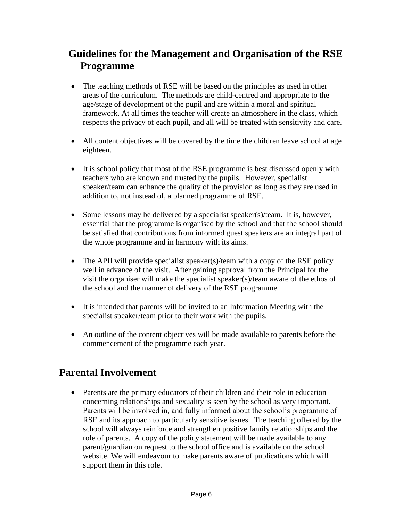# **Guidelines for the Management and Organisation of the RSE Programme**

- The teaching methods of RSE will be based on the principles as used in other areas of the curriculum. The methods are child-centred and appropriate to the age/stage of development of the pupil and are within a moral and spiritual framework. At all times the teacher will create an atmosphere in the class, which respects the privacy of each pupil, and all will be treated with sensitivity and care.
- All content objectives will be covered by the time the children leave school at age eighteen.
- It is school policy that most of the RSE programme is best discussed openly with teachers who are known and trusted by the pupils. However, specialist speaker/team can enhance the quality of the provision as long as they are used in addition to, not instead of, a planned programme of RSE.
- Some lessons may be delivered by a specialist speaker(s)/team. It is, however, essential that the programme is organised by the school and that the school should be satisfied that contributions from informed guest speakers are an integral part of the whole programme and in harmony with its aims.
- The APII will provide specialist speaker(s)/team with a copy of the RSE policy well in advance of the visit. After gaining approval from the Principal for the visit the organiser will make the specialist speaker(s)/team aware of the ethos of the school and the manner of delivery of the RSE programme.
- It is intended that parents will be invited to an Information Meeting with the specialist speaker/team prior to their work with the pupils.
- An outline of the content objectives will be made available to parents before the commencement of the programme each year.

## **Parental Involvement**

• Parents are the primary educators of their children and their role in education concerning relationships and sexuality is seen by the school as very important. Parents will be involved in, and fully informed about the school's programme of RSE and its approach to particularly sensitive issues. The teaching offered by the school will always reinforce and strengthen positive family relationships and the role of parents. A copy of the policy statement will be made available to any parent/guardian on request to the school office and is available on the school website. We will endeavour to make parents aware of publications which will support them in this role.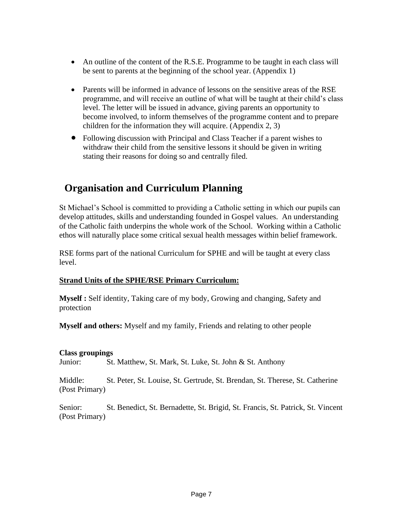- An outline of the content of the R.S.E. Programme to be taught in each class will be sent to parents at the beginning of the school year. (Appendix 1)
- Parents will be informed in advance of lessons on the sensitive areas of the RSE programme, and will receive an outline of what will be taught at their child's class level. The letter will be issued in advance, giving parents an opportunity to become involved, to inform themselves of the programme content and to prepare children for the information they will acquire. (Appendix 2, 3)
- Following discussion with Principal and Class Teacher if a parent wishes to withdraw their child from the sensitive lessons it should be given in writing stating their reasons for doing so and centrally filed.

## **Organisation and Curriculum Planning**

St Michael's School is committed to providing a Catholic setting in which our pupils can develop attitudes, skills and understanding founded in Gospel values. An understanding of the Catholic faith underpins the whole work of the School. Working within a Catholic ethos will naturally place some critical sexual health messages within belief framework.

RSE forms part of the national Curriculum for SPHE and will be taught at every class level.

## **Strand Units of the SPHE/RSE Primary Curriculum:**

**Myself :** Self identity, Taking care of my body, Growing and changing, Safety and protection

**Myself and others:** Myself and my family, Friends and relating to other people

## **Class groupings**

Junior: St. Matthew, St. Mark, St. Luke, St. John & St. Anthony

Middle: St. Peter, St. Louise, St. Gertrude, St. Brendan, St. Therese, St. Catherine (Post Primary)

Senior: St. Benedict, St. Bernadette, St. Brigid, St. Francis, St. Patrick, St. Vincent (Post Primary)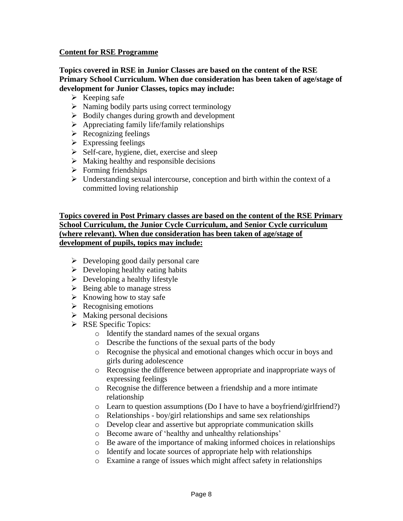### **Content for RSE Programme**

### **Topics covered in RSE in Junior Classes are based on the content of the RSE Primary School Curriculum. When due consideration has been taken of age/stage of development for Junior Classes, topics may include:**

- $\triangleright$  Keeping safe
- $\triangleright$  Naming bodily parts using correct terminology
- ➢ Bodily changes during growth and development
- $\triangleright$  Appreciating family life/family relationships
- $\triangleright$  Recognizing feelings
- $\triangleright$  Expressing feelings
- $\triangleright$  Self-care, hygiene, diet, exercise and sleep
- $\triangleright$  Making healthy and responsible decisions
- $\triangleright$  Forming friendships
- ➢ Understanding sexual intercourse, conception and birth within the context of a committed loving relationship

### **Topics covered in Post Primary classes are based on the content of the RSE Primary School Curriculum, the Junior Cycle Curriculum, and Senior Cycle curriculum (where relevant). When due consideration has been taken of age/stage of development of pupils, topics may include:**

- $\triangleright$  Developing good daily personal care
- $\triangleright$  Developing healthy eating habits
- $\triangleright$  Developing a healthy lifestyle
- $\triangleright$  Being able to manage stress
- $\triangleright$  Knowing how to stay safe
- $\triangleright$  Recognising emotions
- $\triangleright$  Making personal decisions
- ➢ RSE Specific Topics:
	- o Identify the standard names of the sexual organs
	- o Describe the functions of the sexual parts of the body
	- o Recognise the physical and emotional changes which occur in boys and girls during adolescence
	- o Recognise the difference between appropriate and inappropriate ways of expressing feelings
	- o Recognise the difference between a friendship and a more intimate relationship
	- o Learn to question assumptions (Do I have to have a boyfriend/girlfriend?)
	- o Relationships boy/girl relationships and same sex relationships
	- o Develop clear and assertive but appropriate communication skills
	- o Become aware of 'healthy and unhealthy relationships'
	- o Be aware of the importance of making informed choices in relationships
	- o Identify and locate sources of appropriate help with relationships
	- o Examine a range of issues which might affect safety in relationships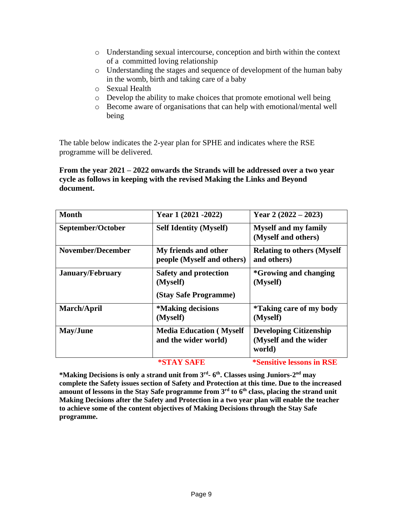- o Understanding sexual intercourse, conception and birth within the context of a committed loving relationship
- o Understanding the stages and sequence of development of the human baby in the womb, birth and taking care of a baby
- o Sexual Health
- o Develop the ability to make choices that promote emotional well being
- o Become aware of organisations that can help with emotional/mental well being

The table below indicates the 2-year plan for SPHE and indicates where the RSE programme will be delivered.

### **From the year 2021 – 2022 onwards the Strands will be addressed over a two year cycle as follows in keeping with the revised Making the Links and Beyond document.**

| <b>Month</b>             | Year 1 (2021 - 2022)                                              | Year 2 $(2022 - 2023)$                                           |
|--------------------------|-------------------------------------------------------------------|------------------------------------------------------------------|
| September/October        | <b>Self Identity (Myself)</b>                                     | <b>Myself and my family</b><br>(Myself and others)               |
| <b>November/December</b> | My friends and other<br>people (Myself and others)                | <b>Relating to others (Myself</b><br>and others)                 |
| <b>January/February</b>  | <b>Safety and protection</b><br>(Myself)<br>(Stay Safe Programme) | <i>*</i> Growing and changing<br>(Myself)                        |
| March/April              | <i><b>*Making decisions</b></i><br>(Myself)                       | <i>*Taking care of my body</i><br>(Myself)                       |
| <b>May/June</b>          | <b>Media Education (Myself)</b><br>and the wider world)           | <b>Developing Citizenship</b><br>(Myself and the wider<br>world) |
|                          | *STAY SAFE                                                        | <i>*Sensitive lessons in RSE</i>                                 |

**\*Making Decisions is only a strand unit from 3rd - 6 th. Classes using Juniors-2 nd may complete the Safety issues section of Safety and Protection at this time. Due to the increased amount of lessons in the Stay Safe programme from 3rd to 6th class, placing the strand unit Making Decisions after the Safety and Protection in a two year plan will enable the teacher to achieve some of the content objectives of Making Decisions through the Stay Safe programme.**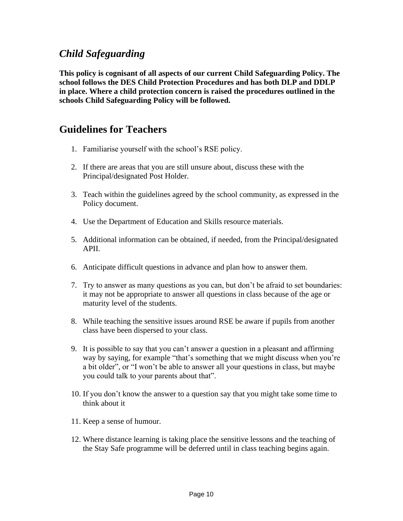## *Child Safeguarding*

**This policy is cognisant of all aspects of our current Child Safeguarding Policy. The school follows the DES Child Protection Procedures and has both DLP and DDLP in place. Where a child protection concern is raised the procedures outlined in the schools Child Safeguarding Policy will be followed.**

## **Guidelines for Teachers**

- 1. Familiarise yourself with the school's RSE policy.
- 2. If there are areas that you are still unsure about, discuss these with the Principal/designated Post Holder.
- 3. Teach within the guidelines agreed by the school community, as expressed in the Policy document.
- 4. Use the Department of Education and Skills resource materials.
- 5. Additional information can be obtained, if needed, from the Principal/designated APII.
- 6. Anticipate difficult questions in advance and plan how to answer them.
- 7. Try to answer as many questions as you can, but don't be afraid to set boundaries: it may not be appropriate to answer all questions in class because of the age or maturity level of the students.
- 8. While teaching the sensitive issues around RSE be aware if pupils from another class have been dispersed to your class.
- 9. It is possible to say that you can't answer a question in a pleasant and affirming way by saying, for example "that's something that we might discuss when you're a bit older", or "I won't be able to answer all your questions in class, but maybe you could talk to your parents about that".
- 10. If you don't know the answer to a question say that you might take some time to think about it
- 11. Keep a sense of humour.
- 12. Where distance learning is taking place the sensitive lessons and the teaching of the Stay Safe programme will be deferred until in class teaching begins again.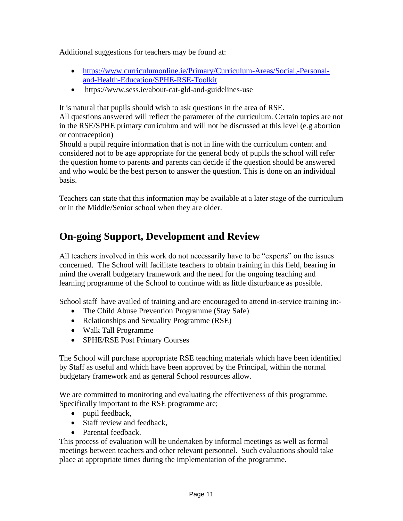Additional suggestions for teachers may be found at:

- [https://www.curriculumonline.ie/Primary/Curriculum-Areas/Social,-Personal](https://www.curriculumonline.ie/Primary/Curriculum-Areas/Social,-Personal-and-Health-Education/SPHE-RSE-Toolkit)[and-Health-Education/SPHE-RSE-Toolkit](https://www.curriculumonline.ie/Primary/Curriculum-Areas/Social,-Personal-and-Health-Education/SPHE-RSE-Toolkit)
- https://www.sess.ie/about-cat-gld-and-guidelines-use

It is natural that pupils should wish to ask questions in the area of RSE.

All questions answered will reflect the parameter of the curriculum. Certain topics are not in the RSE/SPHE primary curriculum and will not be discussed at this level (e.g abortion or contraception)

Should a pupil require information that is not in line with the curriculum content and considered not to be age appropriate for the general body of pupils the school will refer the question home to parents and parents can decide if the question should be answered and who would be the best person to answer the question. This is done on an individual basis.

Teachers can state that this information may be available at a later stage of the curriculum or in the Middle/Senior school when they are older.

# **On-going Support, Development and Review**

All teachers involved in this work do not necessarily have to be "experts" on the issues concerned. The School will facilitate teachers to obtain training in this field, bearing in mind the overall budgetary framework and the need for the ongoing teaching and learning programme of the School to continue with as little disturbance as possible.

School staff have availed of training and are encouraged to attend in-service training in:-

- The Child Abuse Prevention Programme (Stay Safe)
- Relationships and Sexuality Programme (RSE)
- Walk Tall Programme
- SPHE/RSE Post Primary Courses

The School will purchase appropriate RSE teaching materials which have been identified by Staff as useful and which have been approved by the Principal, within the normal budgetary framework and as general School resources allow.

We are committed to monitoring and evaluating the effectiveness of this programme. Specifically important to the RSE programme are;

- pupil feedback,
- Staff review and feedback,
- Parental feedback.

This process of evaluation will be undertaken by informal meetings as well as formal meetings between teachers and other relevant personnel. Such evaluations should take place at appropriate times during the implementation of the programme.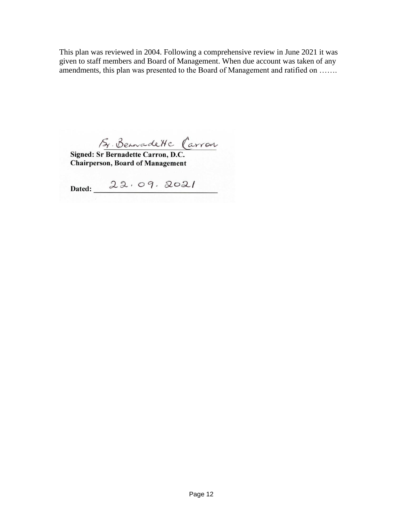This plan was reviewed in 2004. Following a comprehensive review in June 2021 it was given to staff members and Board of Management. When due account was taken of any amendments, this plan was presented to the Board of Management and ratified on …….

Sy Benade Hc Carron

**Chairperson, Board of Management** 

Dated:  $22.09.2021$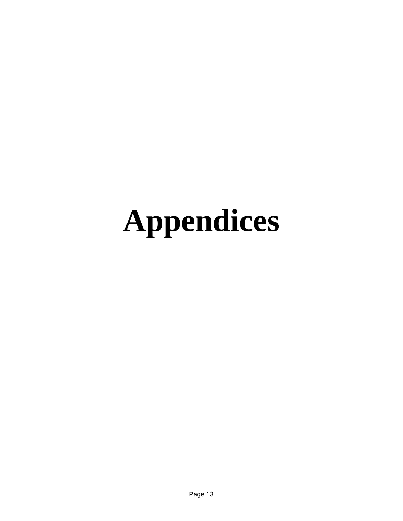# **Appendices**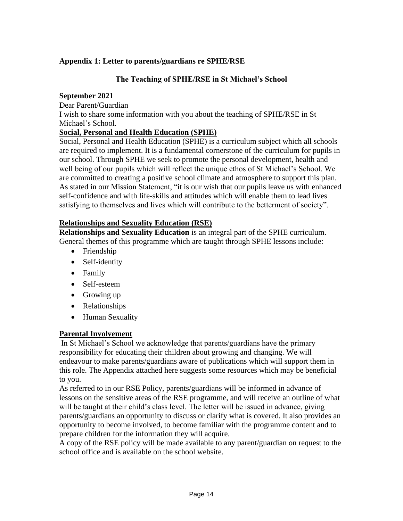## **Appendix 1: Letter to parents/guardians re SPHE/RSE**

### **The Teaching of SPHE/RSE in St Michael's School**

### **September 2021**

Dear Parent/Guardian

I wish to share some information with you about the teaching of SPHE/RSE in St Michael's School.

## **Social, Personal and Health Education (SPHE)**

Social, Personal and Health Education (SPHE) is a curriculum subject which all schools are required to implement. It is a fundamental cornerstone of the curriculum for pupils in our school. Through SPHE we seek to promote the personal development, health and well being of our pupils which will reflect the unique ethos of St Michael's School. We are committed to creating a positive school climate and atmosphere to support this plan. As stated in our Mission Statement, "it is our wish that our pupils leave us with enhanced self-confidence and with life-skills and attitudes which will enable them to lead lives satisfying to themselves and lives which will contribute to the betterment of society".

## **Relationships and Sexuality Education (RSE)**

**Relationships and Sexuality Education** is an integral part of the SPHE curriculum. General themes of this programme which are taught through SPHE lessons include:

- Friendship
- Self-identity
- Family
- Self-esteem
- Growing up
- Relationships
- Human Sexuality

## **Parental Involvement**

In St Michael's School we acknowledge that parents/guardians have the primary responsibility for educating their children about growing and changing. We will endeavour to make parents/guardians aware of publications which will support them in this role. The Appendix attached here suggests some resources which may be beneficial to you.

As referred to in our RSE Policy, parents/guardians will be informed in advance of lessons on the sensitive areas of the RSE programme, and will receive an outline of what will be taught at their child's class level. The letter will be issued in advance, giving parents/guardians an opportunity to discuss or clarify what is covered. It also provides an opportunity to become involved, to become familiar with the programme content and to prepare children for the information they will acquire.

A copy of the RSE policy will be made available to any parent/guardian on request to the school office and is available on the school website.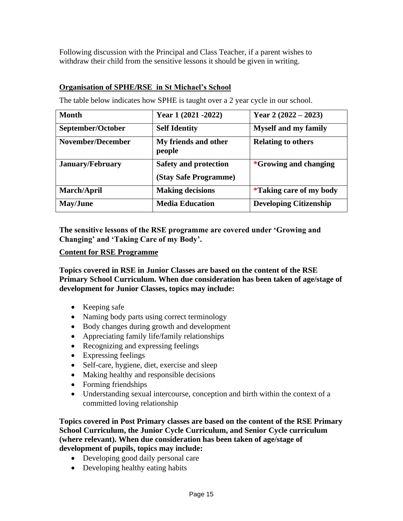Following discussion with the Principal and Class Teacher, if a parent wishes to withdraw their child from the sensitive lessons it should be given in writing.

### **Organisation of SPHE/RSE in St Michael's School**

The table below indicates how SPHE is taught over a 2 year cycle in our school.

| Month                    | Year 1 (2021 - 2022)                                  | Year 2 $(2022 – 2023)$              |
|--------------------------|-------------------------------------------------------|-------------------------------------|
| September/October        | <b>Self Identity</b>                                  | <b>Myself and my family</b>         |
| <b>November/December</b> | My friends and other<br>people                        | <b>Relating to others</b>           |
| <b>January/February</b>  | <b>Safety and protection</b><br>(Stay Safe Programme) | <i><b>*Growing and changing</b></i> |
| March/April              | <b>Making decisions</b>                               | <i>*</i> Taking care of my body     |
| <b>May/June</b>          | <b>Media Education</b>                                | <b>Developing Citizenship</b>       |

**The sensitive lessons of the RSE programme are covered under 'Growing and Changing' and 'Taking Care of my Body'.**

### **Content for RSE Programme**

**Topics covered in RSE in Junior Classes are based on the content of the RSE Primary School Curriculum. When due consideration has been taken of age/stage of development for Junior Classes, topics may include:**

- Keeping safe
- Naming body parts using correct terminology
- Body changes during growth and development
- Appreciating family life/family relationships
- Recognizing and expressing feelings
- Expressing feelings
- Self-care, hygiene, diet, exercise and sleep
- Making healthy and responsible decisions
- Forming friendships
- Understanding sexual intercourse, conception and birth within the context of a committed loving relationship

**Topics covered in Post Primary classes are based on the content of the RSE Primary School Curriculum, the Junior Cycle Curriculum, and Senior Cycle curriculum (where relevant). When due consideration has been taken of age/stage of development of pupils, topics may include:**

- Developing good daily personal care
- Developing healthy eating habits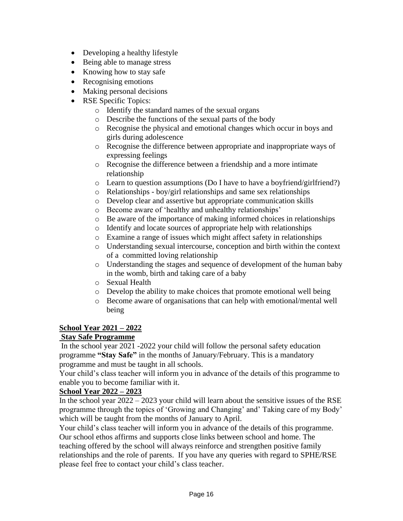- Developing a healthy lifestyle
- Being able to manage stress
- Knowing how to stay safe
- Recognising emotions
- Making personal decisions
- RSE Specific Topics:
	- o Identify the standard names of the sexual organs
	- o Describe the functions of the sexual parts of the body
	- o Recognise the physical and emotional changes which occur in boys and girls during adolescence
	- o Recognise the difference between appropriate and inappropriate ways of expressing feelings
	- o Recognise the difference between a friendship and a more intimate relationship
	- o Learn to question assumptions (Do I have to have a boyfriend/girlfriend?)
	- o Relationships boy/girl relationships and same sex relationships
	- o Develop clear and assertive but appropriate communication skills
	- o Become aware of 'healthy and unhealthy relationships'
	- o Be aware of the importance of making informed choices in relationships
	- o Identify and locate sources of appropriate help with relationships
	- o Examine a range of issues which might affect safety in relationships
	- o Understanding sexual intercourse, conception and birth within the context of a committed loving relationship
	- o Understanding the stages and sequence of development of the human baby in the womb, birth and taking care of a baby
	- o Sexual Health
	- o Develop the ability to make choices that promote emotional well being
	- o Become aware of organisations that can help with emotional/mental well being

## **School Year 2021 – 2022**

## **Stay Safe Programme**

In the school year 2021 -2022 your child will follow the personal safety education programme **"Stay Safe"** in the months of January/February. This is a mandatory programme and must be taught in all schools.

Your child's class teacher will inform you in advance of the details of this programme to enable you to become familiar with it.

## **School Year 2022 – 2023**

In the school year  $2022 - 2023$  your child will learn about the sensitive issues of the RSE programme through the topics of 'Growing and Changing' and' Taking care of my Body' which will be taught from the months of January to April.

Your child's class teacher will inform you in advance of the details of this programme. Our school ethos affirms and supports close links between school and home. The teaching offered by the school will always reinforce and strengthen positive family relationships and the role of parents. If you have any queries with regard to SPHE/RSE please feel free to contact your child's class teacher.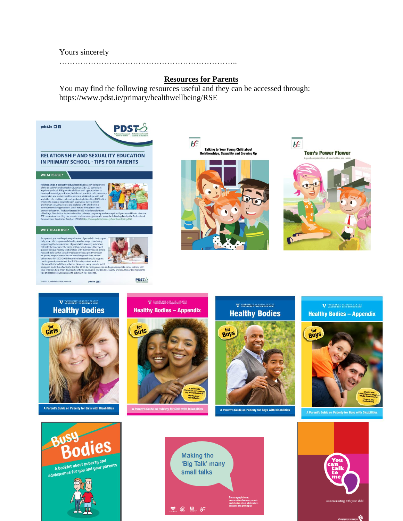### Yours sincerely

…………………………………………………………..

### **Resources for Parents**

You may find the following resources useful and they can be accessed through: https://www.pdst.ie/primary/healthwellbeing/RSE



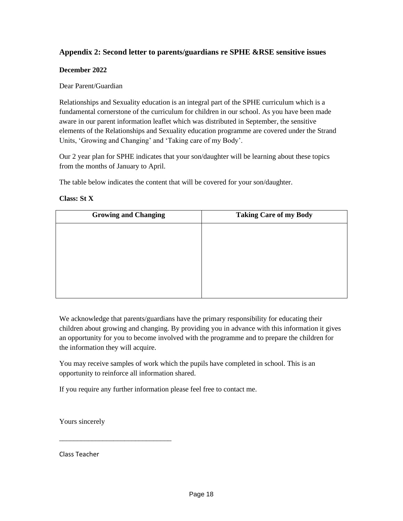### **Appendix 2: Second letter to parents/guardians re SPHE &RSE sensitive issues**

### **December 2022**

### Dear Parent/Guardian

Relationships and Sexuality education is an integral part of the SPHE curriculum which is a fundamental cornerstone of the curriculum for children in our school. As you have been made aware in our parent information leaflet which was distributed in September, the sensitive elements of the Relationships and Sexuality education programme are covered under the Strand Units, 'Growing and Changing' and 'Taking care of my Body'.

Our 2 year plan for SPHE indicates that your son/daughter will be learning about these topics from the months of January to April.

The table below indicates the content that will be covered for your son/daughter.

### **Class: St X**

| <b>Growing and Changing</b> | <b>Taking Care of my Body</b> |
|-----------------------------|-------------------------------|
|                             |                               |
|                             |                               |
|                             |                               |
|                             |                               |
|                             |                               |
|                             |                               |

We acknowledge that parents/guardians have the primary responsibility for educating their children about growing and changing. By providing you in advance with this information it gives an opportunity for you to become involved with the programme and to prepare the children for the information they will acquire.

You may receive samples of work which the pupils have completed in school. This is an opportunity to reinforce all information shared.

If you require any further information please feel free to contact me.

Yours sincerely

\_\_\_\_\_\_\_\_\_\_\_\_\_\_\_\_\_\_\_\_\_\_\_\_\_\_\_\_\_\_\_

Class Teacher